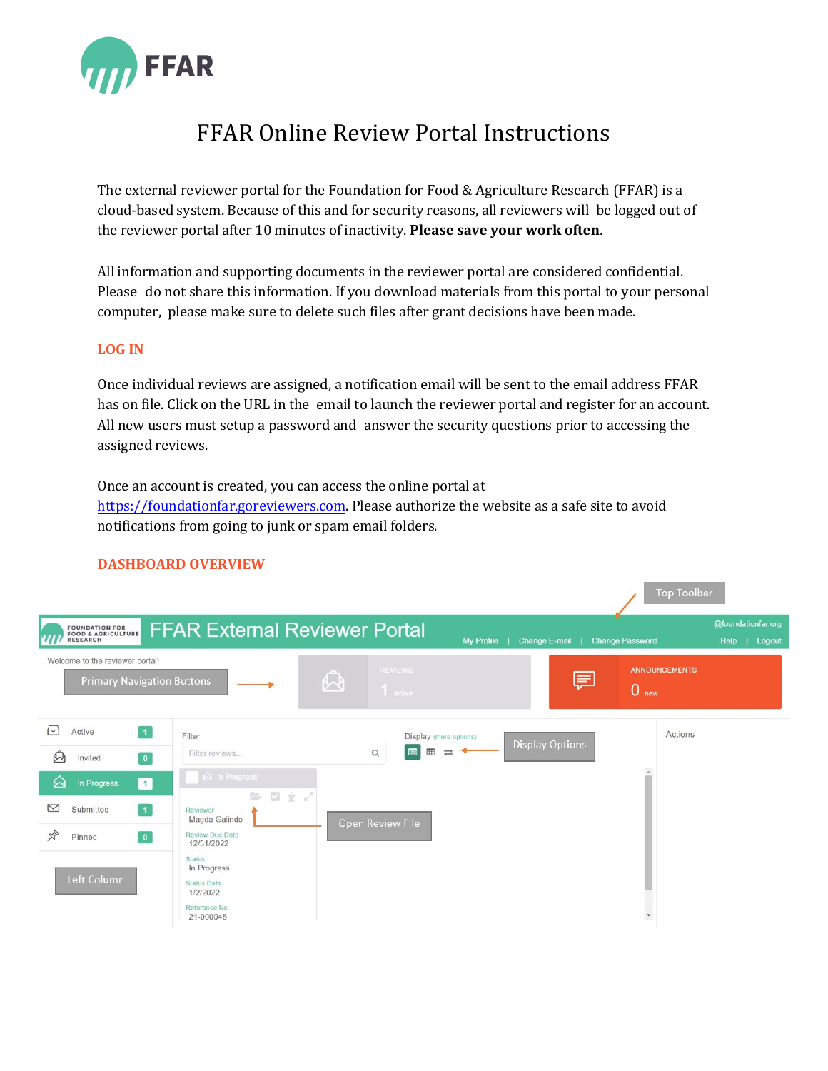

# FFAR Online Review Portal Instructions

The external reviewer portal for the Foundation for Food & Agriculture Research (FFAR) is a cloud-based system. Because of this and for security reasons, all reviewers will be logged out of the reviewer portal after 10 minutes of inactivity. **Please save your work often.**

All information and supporting documents in the reviewer portal are considered confidential. Please do not share this information. If you download materials from this portal to your personal computer, please make sure to delete such files after grant decisions have been made.

## **LOG IN**

Once individual reviews are assigned, a notification email will be sent to the email address FFAR has on file. Click on the URL in the email to launch the reviewer portal and register for an account. All new users must setup a password and answer the security questions prior to accessing the assigned reviews.

Once an account is created, you can access the online portal at [https://foundationfar.goreviewers.com.](https://foundationfar.goreviewers.com/) Please authorize the website as a safe site to avoid notifications from going to junk or spam email folders.

|                                                                      |                                                                                |                                                                          |                             | <b>Top Toolbar</b>                       |                                      |
|----------------------------------------------------------------------|--------------------------------------------------------------------------------|--------------------------------------------------------------------------|-----------------------------|------------------------------------------|--------------------------------------|
| <b>FOUNDATION FOR<br/>FOOD &amp; AGRICULTURE</b><br>RESEARCH         | <b>FFAR External Reviewer Portal</b>                                           |                                                                          | My Profile<br>Change E-mail | <b>Change Password</b>                   | @foundationfar.org<br>Help<br>Logout |
| Welcome to the reviewer portal!<br><b>Primary Navigation Buttons</b> | A                                                                              | <b>REVIEWS</b><br>$1$ active                                             | 厚                           | <b>ANNOUNCEMENTS</b><br>0 <sub>new</sub> |                                      |
| М<br>$\vert$ 1<br>Active<br>M<br>$\boxed{0}$<br>Invited              | Filter<br>Filter reviews                                                       | Display (more options)<br>田<br>$\equiv$<br>$\blacksquare$<br>$\mathsf Q$ | <b>Display Options</b>      | Actions                                  |                                      |
| &<br>$\vert$ 1<br>In Progress<br>⊠<br>$\overline{1}$<br>Submitted    | a In Progress<br>日まど<br>后.<br>Reviewer                                         |                                                                          |                             |                                          |                                      |
| $\frac{1}{2}$<br>$\bullet$<br>Pinned                                 | Magda Galindo<br>Review Due Date<br>12/31/2022<br><b>Status</b><br>In Progress | Open Review File                                                         |                             |                                          |                                      |
| Left Column                                                          | <b>Status Date</b><br>1/2/2022<br>Reference No.<br>21-000045                   |                                                                          |                             | $\overline{\phantom{a}}$                 |                                      |

# **DASHBOARD OVERVIEW**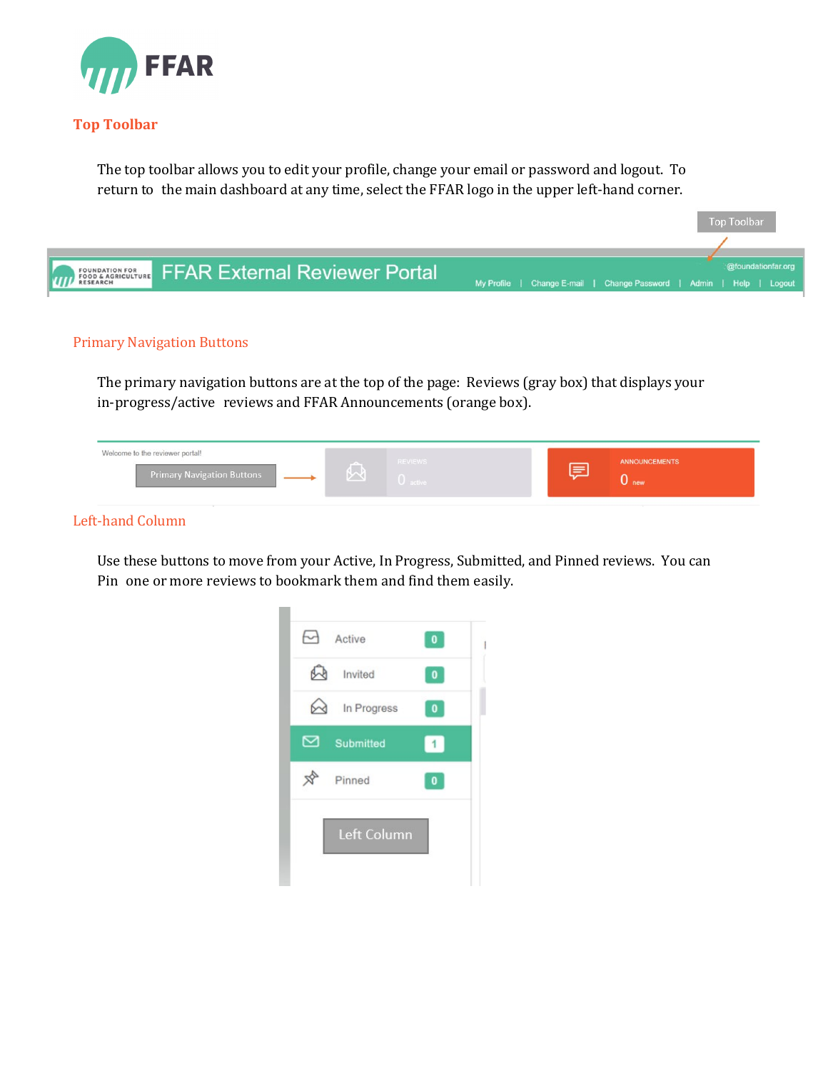

## **Top Toolbar**

The top toolbar allows you to edit your profile, change your email or password and logout. To return to the main dashboard at any time, select the FFAR logo in the upper left-hand corner.



#### Primary Navigation Buttons

The primary navigation buttons are at the top of the page: Reviews (gray box) that displays your in-progress/active reviews and FFAR Announcements (orange box).

| Welcome to the reviewer portal!   | ---               | <b>REVIEWS</b> | <b>ANNOUNCEMENTS</b> |
|-----------------------------------|-------------------|----------------|----------------------|
| <b>Primary Navigation Buttons</b> | <b>CONTRACTOR</b> | U active       | <b>U</b> new         |

## Left-hand Column

Use these buttons to move from your Active, In Progress, Submitted, and Pinned reviews. You can Pin one or more reviews to bookmark them and find them easily.

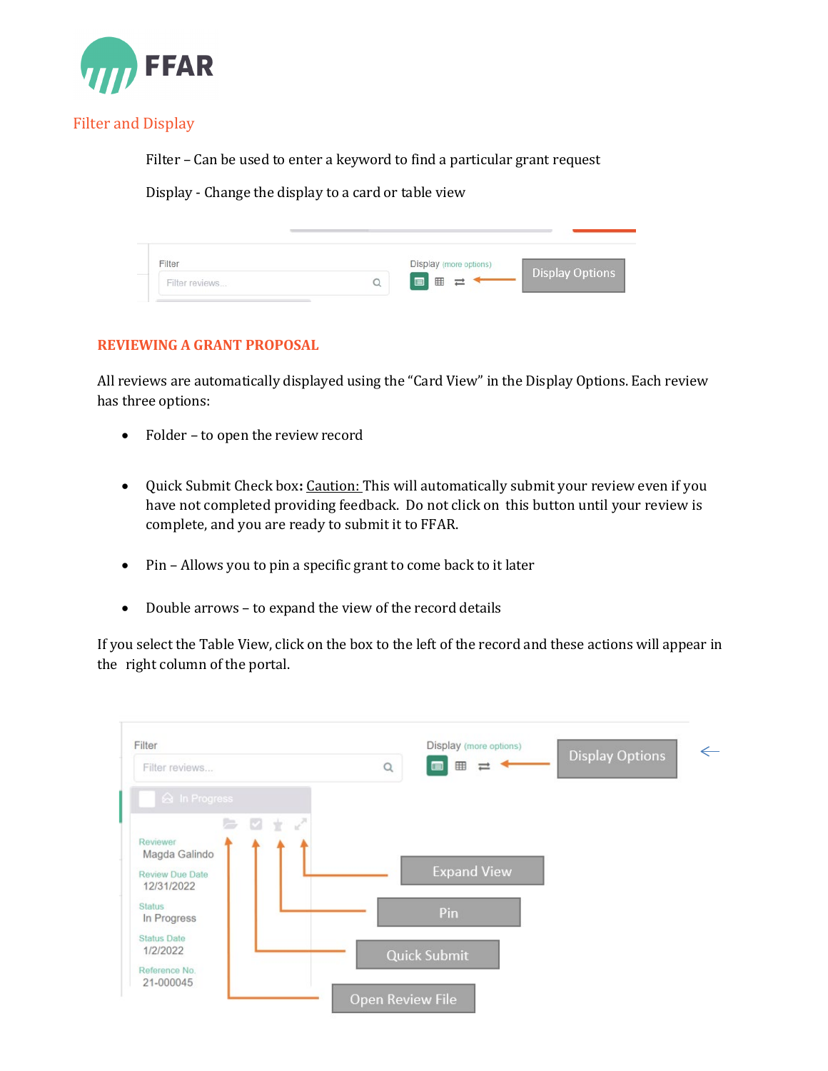

# Filter and Display

Filter – Can be used to enter a keyword to find a particular grant request

Display - Change the display to a card or table view

| Filter         | Display (more options) |                        |
|----------------|------------------------|------------------------|
| Filter reviews | ■■ 〓                   | <b>Display Options</b> |

## **REVIEWING A GRANT PROPOSAL**

All reviews are automatically displayed using the "Card View" in the Display Options. Each review has three options:

- Folder to open the review record
- Quick Submit Check box**:** Caution: This will automatically submit your review even if you have not completed providing feedback. Do not click on this button until your review is complete, and you are ready to submit it to FFAR.
- Pin Allows you to pin a specific grant to come back to it later
- Double arrows to expand the view of the record details

If you select the Table View, click on the box to the left of the record and these actions will appear in the right column of the portal.

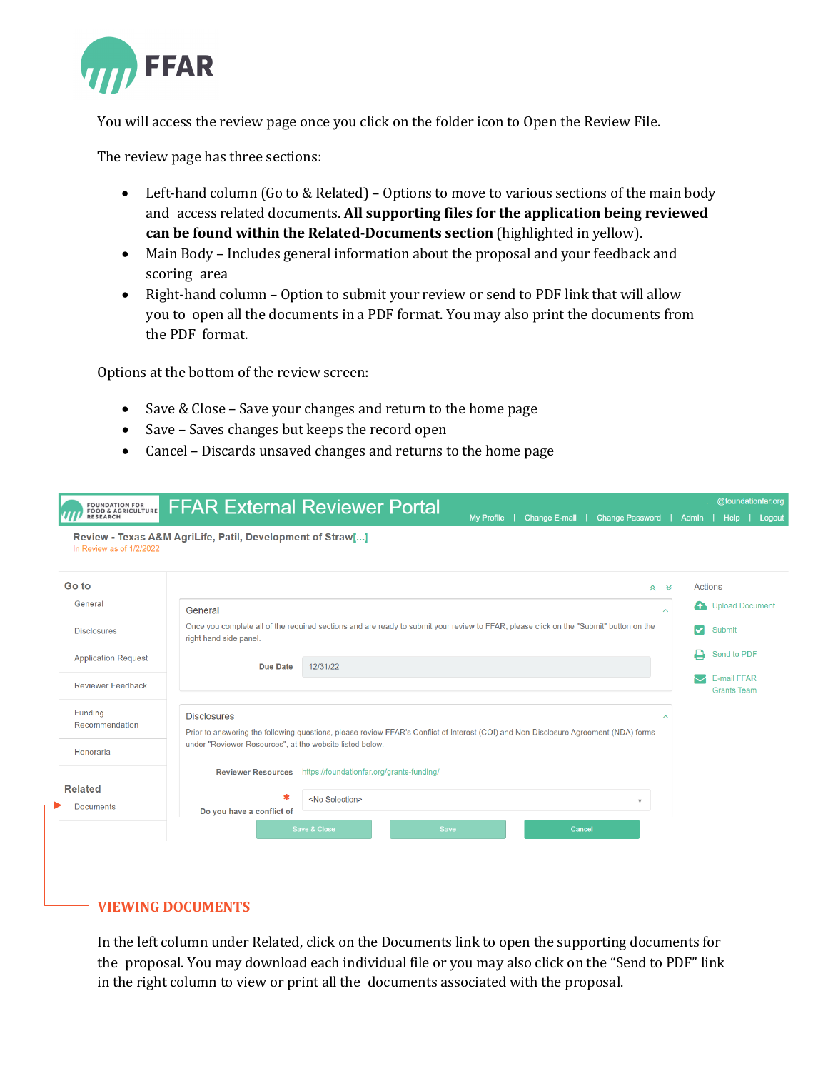

You will access the review page once you click on the folder icon to Open the Review File.

The review page has three sections:

- Left-hand column (Go to & Related) Options to move to various sections of the main body and access related documents. **All supporting files for the application being reviewed can be found within the Related-Documents section** (highlighted in yellow).
- Main Body Includes general information about the proposal and your feedback and scoring area
- Right-hand column Option to submit your review or send to PDF link that will allow you to open all the documents in a PDF format. You may also print the documents from the PDF format.

Options at the bottom of the review screen:

- Save & Close Save your changes and return to the home page
- Save Saves changes but keeps the record open
- Cancel Discards unsaved changes and returns to the home page

| <b>FOUNDATION FOR<br/>FOOD &amp; AGRICULTURE</b><br><b>RESEARCH</b> | <b>FFAR External Reviewer Portal</b><br><b>Change E-mail</b><br><b>Change Password</b><br><b>My Profile</b>                                                                                                                                       | Admin |                   | @foundationfar.org<br><b>Help</b>                       | Logout |
|---------------------------------------------------------------------|---------------------------------------------------------------------------------------------------------------------------------------------------------------------------------------------------------------------------------------------------|-------|-------------------|---------------------------------------------------------|--------|
| In Review as of 1/2/2022                                            | Review - Texas A&M AgriLife, Patil, Development of Straw[]                                                                                                                                                                                        |       |                   |                                                         |        |
| Go to<br>General<br><b>Disclosures</b>                              | $\hat{z}$ $\approx$<br>General<br>$\widehat{\phantom{a}}$<br>Once you complete all of the required sections and are ready to submit your review to FFAR, please click on the "Submit" button on the                                               |       | Actions<br>А<br>☑ | <b>Upload Document</b><br>Submit                        |        |
| <b>Application Request</b><br><b>Reviewer Feedback</b>              | right hand side panel.<br>12/31/22<br><b>Due Date</b>                                                                                                                                                                                             |       |                   | Send to PDF<br><b>E-mail FFAR</b><br><b>Grants Team</b> |        |
| Funding<br>Recommendation<br>Honoraria                              | <b>Disclosures</b><br>$\widehat{\phantom{a}}$<br>Prior to answering the following questions, please review FFAR's Conflict of Interest (COI) and Non-Disclosure Agreement (NDA) forms<br>under "Reviewer Resources", at the website listed below. |       |                   |                                                         |        |
| <b>Related</b><br><b>Documents</b>                                  | https://foundationfar.org/grants-funding/<br><b>Reviewer Resources</b><br>\$<br><no selection=""><br/><math display="inline">\mathbf{v}</math><br/>Do you have a conflict of</no>                                                                 |       |                   |                                                         |        |
|                                                                     | Save & Close<br>Save<br>Cancel                                                                                                                                                                                                                    |       |                   |                                                         |        |

## **VIEWING DOCUMENTS**

In the left column under Related, click on the Documents link to open the supporting documents for the proposal. You may download each individual file or you may also click on the "Send to PDF" link in the right column to view or print all the documents associated with the proposal.